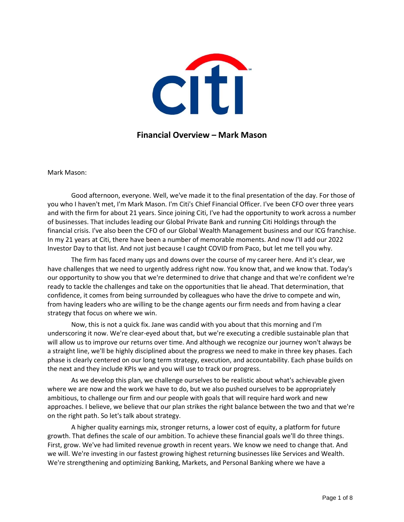

## **Financial Overview – Mark Mason**

Mark Mason:

Good afternoon, everyone. Well, we've made it to the final presentation of the day. For those of you who I haven't met, I'm Mark Mason. I'm Citi's Chief Financial Officer. I've been CFO over three years and with the firm for about 21 years. Since joining Citi, I've had the opportunity to work across a number of businesses. That includes leading our Global Private Bank and running Citi Holdings through the financial crisis. I've also been the CFO of our Global Wealth Management business and our ICG franchise. In my 21 years at Citi, there have been a number of memorable moments. And now I'll add our 2022 Investor Day to that list. And not just because I caught COVID from Paco, but let me tell you why.

The firm has faced many ups and downs over the course of my career here. And it's clear, we have challenges that we need to urgently address right now. You know that, and we know that. Today's our opportunity to show you that we're determined to drive that change and that we're confident we're ready to tackle the challenges and take on the opportunities that lie ahead. That determination, that confidence, it comes from being surrounded by colleagues who have the drive to compete and win, from having leaders who are willing to be the change agents our firm needs and from having a clear strategy that focus on where we win.

Now, this is not a quick fix. Jane was candid with you about that this morning and I'm underscoring it now. We're clear-eyed about that, but we're executing a credible sustainable plan that will allow us to improve our returns over time. And although we recognize our journey won't always be a straight line, we'll be highly disciplined about the progress we need to make in three key phases. Each phase is clearly centered on our long term strategy, execution, and accountability. Each phase builds on the next and they include KPIs we and you will use to track our progress.

As we develop this plan, we challenge ourselves to be realistic about what's achievable given where we are now and the work we have to do, but we also pushed ourselves to be appropriately ambitious, to challenge our firm and our people with goals that will require hard work and new approaches. I believe, we believe that our plan strikes the right balance between the two and that we're on the right path. So let's talk about strategy.

A higher quality earnings mix, stronger returns, a lower cost of equity, a platform for future growth. That defines the scale of our ambition. To achieve these financial goals we'll do three things. First, grow. We've had limited revenue growth in recent years. We know we need to change that. And we will. We're investing in our fastest growing highest returning businesses like Services and Wealth. We're strengthening and optimizing Banking, Markets, and Personal Banking where we have a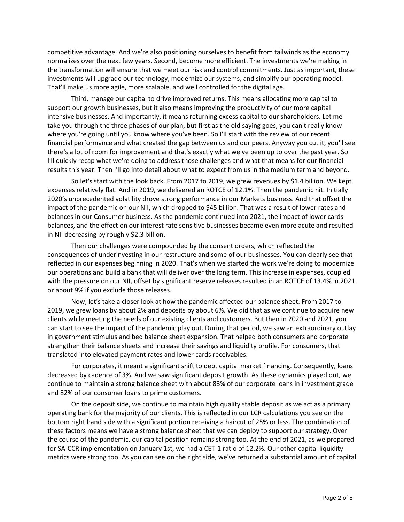competitive advantage. And we're also positioning ourselves to benefit from tailwinds as the economy normalizes over the next few years. Second, become more efficient. The investments we're making in the transformation will ensure that we meet our risk and control commitments. Just as important, these investments will upgrade our technology, modernize our systems, and simplify our operating model. That'll make us more agile, more scalable, and well controlled for the digital age.

Third, manage our capital to drive improved returns. This means allocating more capital to support our growth businesses, but it also means improving the productivity of our more capital intensive businesses. And importantly, it means returning excess capital to our shareholders. Let me take you through the three phases of our plan, but first as the old saying goes, you can't really know where you're going until you know where you've been. So I'll start with the review of our recent financial performance and what created the gap between us and our peers. Anyway you cut it, you'll see there's a lot of room for improvement and that's exactly what we've been up to over the past year. So I'll quickly recap what we're doing to address those challenges and what that means for our financial results this year. Then I'll go into detail about what to expect from us in the medium term and beyond.

So let's start with the look back. From 2017 to 2019, we grew revenues by \$1.4 billion. We kept expenses relatively flat. And in 2019, we delivered an ROTCE of 12.1%. Then the pandemic hit. Initially 2020's unprecedented volatility drove strong performance in our Markets business. And that offset the impact of the pandemic on our NII, which dropped to \$45 billion. That was a result of lower rates and balances in our Consumer business. As the pandemic continued into 2021, the impact of lower cards balances, and the effect on our interest rate sensitive businesses became even more acute and resulted in NII decreasing by roughly \$2.3 billion.

Then our challenges were compounded by the consent orders, which reflected the consequences of underinvesting in our restructure and some of our businesses. You can clearly see that reflected in our expenses beginning in 2020. That's when we started the work we're doing to modernize our operations and build a bank that will deliver over the long term. This increase in expenses, coupled with the pressure on our NII, offset by significant reserve releases resulted in an ROTCE of 13.4% in 2021 or about 9% if you exclude those releases.

Now, let's take a closer look at how the pandemic affected our balance sheet. From 2017 to 2019, we grew loans by about 2% and deposits by about 6%. We did that as we continue to acquire new clients while meeting the needs of our existing clients and customers. But then in 2020 and 2021, you can start to see the impact of the pandemic play out. During that period, we saw an extraordinary outlay in government stimulus and bed balance sheet expansion. That helped both consumers and corporate strengthen their balance sheets and increase their savings and liquidity profile. For consumers, that translated into elevated payment rates and lower cards receivables.

For corporates, it meant a significant shift to debt capital market financing. Consequently, loans decreased by cadence of 3%. And we saw significant deposit growth. As these dynamics played out, we continue to maintain a strong balance sheet with about 83% of our corporate loans in investment grade and 82% of our consumer loans to prime customers.

On the deposit side, we continue to maintain high quality stable deposit as we act as a primary operating bank for the majority of our clients. This is reflected in our LCR calculations you see on the bottom right hand side with a significant portion receiving a haircut of 25% or less. The combination of these factors means we have a strong balance sheet that we can deploy to support our strategy. Over the course of the pandemic, our capital position remains strong too. At the end of 2021, as we prepared for SA-CCR implementation on January 1st, we had a CET-1 ratio of 12.2%. Our other capital liquidity metrics were strong too. As you can see on the right side, we've returned a substantial amount of capital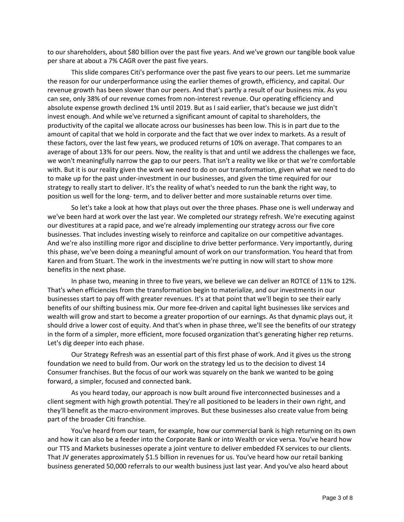to our shareholders, about \$80 billion over the past five years. And we've grown our tangible book value per share at about a 7% CAGR over the past five years.

This slide compares Citi's performance over the past five years to our peers. Let me summarize the reason for our underperformance using the earlier themes of growth, efficiency, and capital. Our revenue growth has been slower than our peers. And that's partly a result of our business mix. As you can see, only 38% of our revenue comes from non-interest revenue. Our operating efficiency and absolute expense growth declined 1% until 2019. But as I said earlier, that's because we just didn't invest enough. And while we've returned a significant amount of capital to shareholders, the productivity of the capital we allocate across our businesses has been low. This is in part due to the amount of capital that we hold in corporate and the fact that we over index to markets. As a result of these factors, over the last few years, we produced returns of 10% on average. That compares to an average of about 13% for our peers. Now, the reality is that and until we address the challenges we face, we won't meaningfully narrow the gap to our peers. That isn't a reality we like or that we're comfortable with. But it is our reality given the work we need to do on our transformation, given what we need to do to make up for the past under-investment in our businesses, and given the time required for our strategy to really start to deliver. It's the reality of what's needed to run the bank the right way, to position us well for the long- term, and to deliver better and more sustainable returns over time.

So let's take a look at how that plays out over the three phases. Phase one is well underway and we've been hard at work over the last year. We completed our strategy refresh. We're executing against our divestitures at a rapid pace, and we're already implementing our strategy across our five core businesses. That includes investing wisely to reinforce and capitalize on our competitive advantages. And we're also instilling more rigor and discipline to drive better performance. Very importantly, during this phase, we've been doing a meaningful amount of work on our transformation. You heard that from Karen and from Stuart. The work in the investments we're putting in now will start to show more benefits in the next phase.

In phase two, meaning in three to five years, we believe we can deliver an ROTCE of 11% to 12%. That's when efficiencies from the transformation begin to materialize, and our investments in our businesses start to pay off with greater revenues. It's at that point that we'll begin to see their early benefits of our shifting business mix. Our more fee-driven and capital light businesses like services and wealth will grow and start to become a greater proportion of our earnings. As that dynamic plays out, it should drive a lower cost of equity. And that's when in phase three, we'll see the benefits of our strategy in the form of a simpler, more efficient, more focused organization that's generating higher rep returns. Let's dig deeper into each phase.

Our Strategy Refresh was an essential part of this first phase of work. And it gives us the strong foundation we need to build from. Our work on the strategy led us to the decision to divest 14 Consumer franchises. But the focus of our work was squarely on the bank we wanted to be going forward, a simpler, focused and connected bank.

As you heard today, our approach is now built around five interconnected businesses and a client segment with high growth potential. They're all positioned to be leaders in their own right, and they'll benefit as the macro-environment improves. But these businesses also create value from being part of the broader Citi franchise.

You've heard from our team, for example, how our commercial bank is high returning on its own and how it can also be a feeder into the Corporate Bank or into Wealth or vice versa. You've heard how our TTS and Markets businesses operate a joint venture to deliver embedded FX services to our clients. That JV generates approximately \$1.5 billion in revenues for us. You've heard how our retail banking business generated 50,000 referrals to our wealth business just last year. And you've also heard about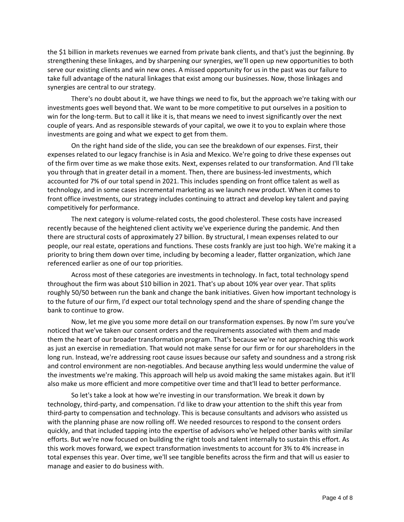the \$1 billion in markets revenues we earned from private bank clients, and that's just the beginning. By strengthening these linkages, and by sharpening our synergies, we'll open up new opportunities to both serve our existing clients and win new ones. A missed opportunity for us in the past was our failure to take full advantage of the natural linkages that exist among our businesses. Now, those linkages and synergies are central to our strategy.

There's no doubt about it, we have things we need to fix, but the approach we're taking with our investments goes well beyond that. We want to be more competitive to put ourselves in a position to win for the long-term. But to call it like it is, that means we need to invest significantly over the next couple of years. And as responsible stewards of your capital, we owe it to you to explain where those investments are going and what we expect to get from them.

On the right hand side of the slide, you can see the breakdown of our expenses. First, their expenses related to our legacy franchise is in Asia and Mexico. We're going to drive these expenses out of the firm over time as we make those exits. Next, expenses related to our transformation. And I'll take you through that in greater detail in a moment. Then, there are business-led investments, which accounted for 7% of our total spend in 2021. This includes spending on front office talent as well as technology, and in some cases incremental marketing as we launch new product. When it comes to front office investments, our strategy includes continuing to attract and develop key talent and paying competitively for performance.

The next category is volume-related costs, the good cholesterol. These costs have increased recently because of the heightened client activity we've experience during the pandemic. And then there are structural costs of approximately 27 billion. By structural, I mean expenses related to our people, our real estate, operations and functions. These costs frankly are just too high. We're making it a priority to bring them down over time, including by becoming a leader, flatter organization, which Jane referenced earlier as one of our top priorities.

Across most of these categories are investments in technology. In fact, total technology spend throughout the firm was about \$10 billion in 2021. That's up about 10% year over year. That splits roughly 50/50 between run the bank and change the bank initiatives. Given how important technology is to the future of our firm, I'd expect our total technology spend and the share of spending change the bank to continue to grow.

Now, let me give you some more detail on our transformation expenses. By now I'm sure you've noticed that we've taken our consent orders and the requirements associated with them and made them the heart of our broader transformation program. That's because we're not approaching this work as just an exercise in remediation. That would not make sense for our firm or for our shareholders in the long run. Instead, we're addressing root cause issues because our safety and soundness and a strong risk and control environment are non-negotiables. And because anything less would undermine the value of the investments we're making. This approach will help us avoid making the same mistakes again. But it'll also make us more efficient and more competitive over time and that'll lead to better performance.

So let's take a look at how we're investing in our transformation. We break it down by technology, third-party, and compensation. I'd like to draw your attention to the shift this year from third-party to compensation and technology. This is because consultants and advisors who assisted us with the planning phase are now rolling off. We needed resources to respond to the consent orders quickly, and that included tapping into the expertise of advisors who've helped other banks with similar efforts. But we're now focused on building the right tools and talent internally to sustain this effort. As this work moves forward, we expect transformation investments to account for 3% to 4% increase in total expenses this year. Over time, we'll see tangible benefits across the firm and that will us easier to manage and easier to do business with.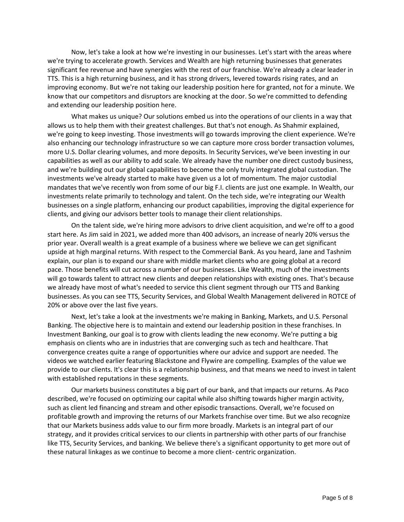Now, let's take a look at how we're investing in our businesses. Let's start with the areas where we're trying to accelerate growth. Services and Wealth are high returning businesses that generates significant fee revenue and have synergies with the rest of our franchise. We're already a clear leader in TTS. This is a high returning business, and it has strong drivers, levered towards rising rates, and an improving economy. But we're not taking our leadership position here for granted, not for a minute. We know that our competitors and disruptors are knocking at the door. So we're committed to defending and extending our leadership position here.

What makes us unique? Our solutions embed us into the operations of our clients in a way that allows us to help them with their greatest challenges. But that's not enough. As Shahmir explained, we're going to keep investing. Those investments will go towards improving the client experience. We're also enhancing our technology infrastructure so we can capture more cross border transaction volumes, more U.S. Dollar clearing volumes, and more deposits. In Security Services, we've been investing in our capabilities as well as our ability to add scale. We already have the number one direct custody business, and we're building out our global capabilities to become the only truly integrated global custodian. The investments we've already started to make have given us a lot of momentum. The major custodial mandates that we've recently won from some of our big F.I. clients are just one example. In Wealth, our investments relate primarily to technology and talent. On the tech side, we're integrating our Wealth businesses on a single platform, enhancing our product capabilities, improving the digital experience for clients, and giving our advisors better tools to manage their client relationships.

On the talent side, we're hiring more advisors to drive client acquisition, and we're off to a good start here. As Jim said in 2021, we added more than 400 advisors, an increase of nearly 20% versus the prior year. Overall wealth is a great example of a business where we believe we can get significant upside at high marginal returns. With respect to the Commercial Bank. As you heard, Jane and Tashnim explain, our plan is to expand our share with middle market clients who are going global at a record pace. Those benefits will cut across a number of our businesses. Like Wealth, much of the investments will go towards talent to attract new clients and deepen relationships with existing ones. That's because we already have most of what's needed to service this client segment through our TTS and Banking businesses. As you can see TTS, Security Services, and Global Wealth Management delivered in ROTCE of 20% or above over the last five years.

Next, let's take a look at the investments we're making in Banking, Markets, and U.S. Personal Banking. The objective here is to maintain and extend our leadership position in these franchises. In Investment Banking, our goal is to grow with clients leading the new economy. We're putting a big emphasis on clients who are in industries that are converging such as tech and healthcare. That convergence creates quite a range of opportunities where our advice and support are needed. The videos we watched earlier featuring Blackstone and Flywire are compelling. Examples of the value we provide to our clients. It's clear this is a relationship business, and that means we need to invest in talent with established reputations in these segments.

Our markets business constitutes a big part of our bank, and that impacts our returns. As Paco described, we're focused on optimizing our capital while also shifting towards higher margin activity, such as client led financing and stream and other episodic transactions. Overall, we're focused on profitable growth and improving the returns of our Markets franchise over time. But we also recognize that our Markets business adds value to our firm more broadly. Markets is an integral part of our strategy, and it provides critical services to our clients in partnership with other parts of our franchise like TTS, Security Services, and banking. We believe there's a significant opportunity to get more out of these natural linkages as we continue to become a more client- centric organization.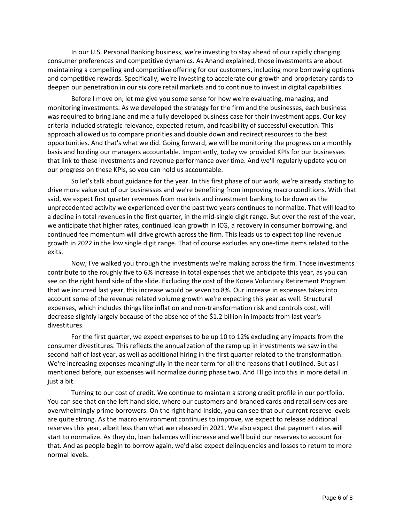In our U.S. Personal Banking business, we're investing to stay ahead of our rapidly changing consumer preferences and competitive dynamics. As Anand explained, those investments are about maintaining a compelling and competitive offering for our customers, including more borrowing options and competitive rewards. Specifically, we're investing to accelerate our growth and proprietary cards to deepen our penetration in our six core retail markets and to continue to invest in digital capabilities.

Before I move on, let me give you some sense for how we're evaluating, managing, and monitoring investments. As we developed the strategy for the firm and the businesses, each business was required to bring Jane and me a fully developed business case for their investment apps. Our key criteria included strategic relevance, expected return, and feasibility of successful execution. This approach allowed us to compare priorities and double down and redirect resources to the best opportunities. And that's what we did. Going forward, we will be monitoring the progress on a monthly basis and holding our managers accountable. Importantly, today we provided KPIs for our businesses that link to these investments and revenue performance over time. And we'll regularly update you on our progress on these KPIs, so you can hold us accountable.

So let's talk about guidance for the year. In this first phase of our work, we're already starting to drive more value out of our businesses and we're benefiting from improving macro conditions. With that said, we expect first quarter revenues from markets and investment banking to be down as the unprecedented activity we experienced over the past two years continues to normalize. That will lead to a decline in total revenues in the first quarter, in the mid-single digit range. But over the rest of the year, we anticipate that higher rates, continued loan growth in ICG, a recovery in consumer borrowing, and continued fee momentum will drive growth across the firm. This leads us to expect top line revenue growth in 2022 in the low single digit range. That of course excludes any one-time items related to the exits.

Now, I've walked you through the investments we're making across the firm. Those investments contribute to the roughly five to 6% increase in total expenses that we anticipate this year, as you can see on the right hand side of the slide. Excluding the cost of the Korea Voluntary Retirement Program that we incurred last year, this increase would be seven to 8%. Our increase in expenses takes into account some of the revenue related volume growth we're expecting this year as well. Structural expenses, which includes things like inflation and non-transformation risk and controls cost, will decrease slightly largely because of the absence of the \$1.2 billion in impacts from last year's divestitures.

For the first quarter, we expect expenses to be up 10 to 12% excluding any impacts from the consumer divestitures. This reflects the annualization of the ramp up in investments we saw in the second half of last year, as well as additional hiring in the first quarter related to the transformation. We're increasing expenses meaningfully in the near term for all the reasons that I outlined. But as I mentioned before, our expenses will normalize during phase two. And I'll go into this in more detail in just a bit.

Turning to our cost of credit. We continue to maintain a strong credit profile in our portfolio. You can see that on the left hand side, where our customers and branded cards and retail services are overwhelmingly prime borrowers. On the right hand inside, you can see that our current reserve levels are quite strong. As the macro environment continues to improve, we expect to release additional reserves this year, albeit less than what we released in 2021. We also expect that payment rates will start to normalize. As they do, loan balances will increase and we'll build our reserves to account for that. And as people begin to borrow again, we'd also expect delinquencies and losses to return to more normal levels.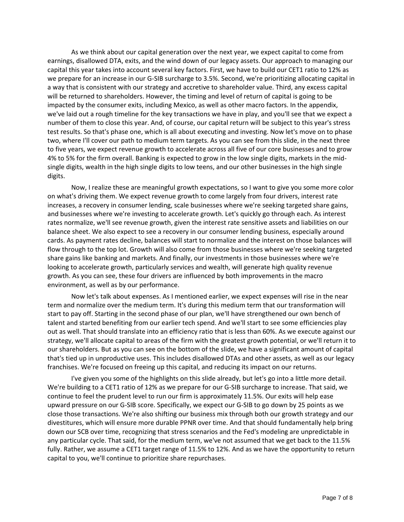As we think about our capital generation over the next year, we expect capital to come from earnings, disallowed DTA, exits, and the wind down of our legacy assets. Our approach to managing our capital this year takes into account several key factors. First, we have to build our CET1 ratio to 12% as we prepare for an increase in our G-SIB surcharge to 3.5%. Second, we're prioritizing allocating capital in a way that is consistent with our strategy and accretive to shareholder value. Third, any excess capital will be returned to shareholders. However, the timing and level of return of capital is going to be impacted by the consumer exits, including Mexico, as well as other macro factors. In the appendix, we've laid out a rough timeline for the key transactions we have in play, and you'll see that we expect a number of them to close this year. And, of course, our capital return will be subject to this year's stress test results. So that's phase one, which is all about executing and investing. Now let's move on to phase two, where I'll cover our path to medium term targets. As you can see from this slide, in the next three to five years, we expect revenue growth to accelerate across all five of our core businesses and to grow 4% to 5% for the firm overall. Banking is expected to grow in the low single digits, markets in the midsingle digits, wealth in the high single digits to low teens, and our other businesses in the high single digits.

Now, I realize these are meaningful growth expectations, so I want to give you some more color on what's driving them. We expect revenue growth to come largely from four drivers, interest rate increases, a recovery in consumer lending, scale businesses where we're seeking targeted share gains, and businesses where we're investing to accelerate growth. Let's quickly go through each. As interest rates normalize, we'll see revenue growth, given the interest rate sensitive assets and liabilities on our balance sheet. We also expect to see a recovery in our consumer lending business, especially around cards. As payment rates decline, balances will start to normalize and the interest on those balances will flow through to the top lot. Growth will also come from those businesses where we're seeking targeted share gains like banking and markets. And finally, our investments in those businesses where we're looking to accelerate growth, particularly services and wealth, will generate high quality revenue growth. As you can see, these four drivers are influenced by both improvements in the macro environment, as well as by our performance.

Now let's talk about expenses. As I mentioned earlier, we expect expenses will rise in the near term and normalize over the medium term. It's during this medium term that our transformation will start to pay off. Starting in the second phase of our plan, we'll have strengthened our own bench of talent and started benefiting from our earlier tech spend. And we'll start to see some efficiencies play out as well. That should translate into an efficiency ratio that is less than 60%. As we execute against our strategy, we'll allocate capital to areas of the firm with the greatest growth potential, or we'll return it to our shareholders. But as you can see on the bottom of the slide, we have a significant amount of capital that's tied up in unproductive uses. This includes disallowed DTAs and other assets, as well as our legacy franchises. We're focused on freeing up this capital, and reducing its impact on our returns.

I've given you some of the highlights on this slide already, but let's go into a little more detail. We're building to a CET1 ratio of 12% as we prepare for our G-SIB surcharge to increase. That said, we continue to feel the prudent level to run our firm is approximately 11.5%. Our exits will help ease upward pressure on our G-SIB score. Specifically, we expect our G-SIB to go down by 25 points as we close those transactions. We're also shifting our business mix through both our growth strategy and our divestitures, which will ensure more durable PPNR over time. And that should fundamentally help bring down our SCB over time, recognizing that stress scenarios and the Fed's modeling are unpredictable in any particular cycle. That said, for the medium term, we've not assumed that we get back to the 11.5% fully. Rather, we assume a CET1 target range of 11.5% to 12%. And as we have the opportunity to return capital to you, we'll continue to prioritize share repurchases.